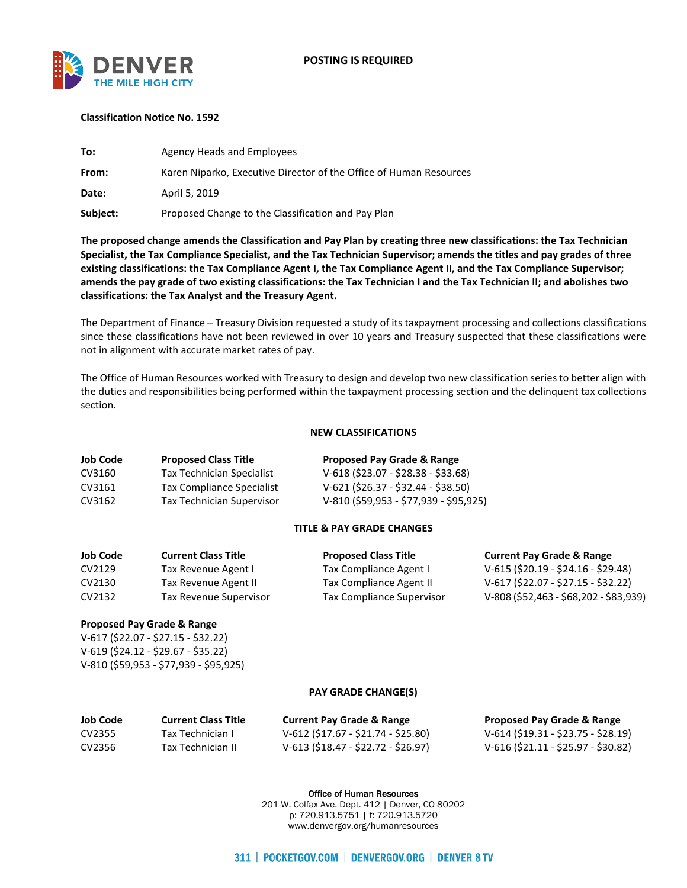

# **POSTING IS REQUIRED**

## **Classification Notice No. 1592**

| To:      | Agency Heads and Employees                                         |  |
|----------|--------------------------------------------------------------------|--|
| From:    | Karen Niparko, Executive Director of the Office of Human Resources |  |
| Date:    | April 5, 2019                                                      |  |
| Subject: | Proposed Change to the Classification and Pay Plan                 |  |

**The proposed change amends the Classification and Pay Plan by creating three new classifications: the Tax Technician Specialist, the Tax Compliance Specialist, and the Tax Technician Supervisor; amends the titles and pay grades of three existing classifications: the Tax Compliance Agent I, the Tax Compliance Agent II, and the Tax Compliance Supervisor; amends the pay grade of two existing classifications: the Tax Technician I and the Tax Technician II; and abolishes two classifications: the Tax Analyst and the Treasury Agent.** 

The Department of Finance – Treasury Division requested a study of its taxpayment processing and collections classifications since these classifications have not been reviewed in over 10 years and Treasury suspected that these classifications were not in alignment with accurate market rates of pay.

The Office of Human Resources worked with Treasury to design and develop two new classification series to better align with the duties and responsibilities being performed within the taxpayment processing section and the delinquent tax collections section.

## **NEW CLASSIFICATIONS**

| <b>Job Code</b> | <b>Proposed Class Title</b>      | <b>Proposed Pay Grade &amp; Range</b>  |
|-----------------|----------------------------------|----------------------------------------|
| CV3160          | <b>Tax Technician Specialist</b> | V-618 (\$23.07 - \$28.38 - \$33.68)    |
| CV3161          | <b>Tax Compliance Specialist</b> | $V-621$ (\$26.37 - \$32.44 - \$38.50)  |
| CV3162          | <b>Tax Technician Supervisor</b> | V-810 (\$59,953 - \$77,939 - \$95,925) |

#### **TITLE & PAY GRADE CHANGES**

| <b>Job Code</b> | <b>Current Class Title</b> | <b>Proposed Class Title</b> | <b>Current Pay Grade &amp; Range</b>   |
|-----------------|----------------------------|-----------------------------|----------------------------------------|
| CV2129          | Tax Revenue Agent I        | Tax Compliance Agent I      | $V-615$ (\$20.19 - \$24.16 - \$29.48)  |
| CV2130          | Tax Revenue Agent II       | Tax Compliance Agent II     | V-617 (\$22.07 - \$27.15 - \$32.22)    |
| CV2132          | Tax Revenue Supervisor     | Tax Compliance Supervisor   | V-808 (\$52,463 - \$68,202 - \$83,939) |

#### **Proposed Pay Grade & Range**

V-617 (\$22.07 - \$27.15 - \$32.22) V-619 (\$24.12 - \$29.67 - \$35.22) V-810 (\$59,953 - \$77,939 - \$95,925)

#### **PAY GRADE CHANGE(S)**

| Job Code | <b>Current Class Title</b> | <b>Current Pay Grade &amp; Range</b> | <b>Proposed Pay Grade &amp; Range</b> |
|----------|----------------------------|--------------------------------------|---------------------------------------|
| CV2355   | Tax Technician I           | V-612 (\$17.67 - \$21.74 - \$25.80)  | $V-614$ (\$19.31 - \$23.75 - \$28.19) |
| CV2356   | Tax Technician II          | V-613 (\$18.47 - \$22.72 - \$26.97)  | $V-616$ (\$21.11 - \$25.97 - \$30.82) |

# Office of Human Resources 201 W. Colfax Ave. Dept. 412 | Denver, CO 80202

p: 720.913.5751 | f: 720.913.5720 www.denvergov.org/humanresources